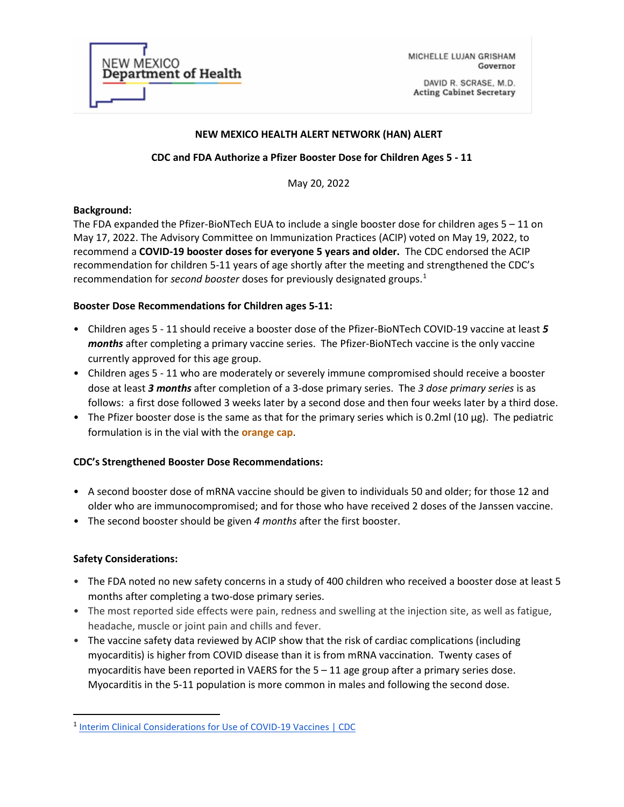| <b>NEW MEXICO</b><br><b>Department of Health</b> |
|--------------------------------------------------|
|                                                  |

MICHELLE LUJAN GRISHAM Governor

DAVID R. SCRASE, M.D. **Acting Cabinet Secretary** 

### **NEW MEXICO HEALTH ALERT NETWORK (HAN) ALERT**

### **CDC and FDA Authorize a Pfizer Booster Dose for Children Ages 5 - 11**

May 20, 2022

#### **Background:**

The FDA expanded the Pfizer-BioNTech EUA to include a single booster dose for children ages 5 – 11 on May 17, 2022. The Advisory Committee on Immunization Practices (ACIP) voted on May 19, 2022, to recommend a **COVID-19 booster doses for everyone 5 years and older.** The CDC endorsed the ACIP recommendation for children 5-11 years of age shortly after the meeting and strengthened the CDC's recommendation for *second booster* doses for previously designated groups.[1](#page-0-0)

#### **Booster Dose Recommendations for Children ages 5-11:**

- Children ages 5 11 should receive a booster dose of the Pfizer-BioNTech COVID-19 vaccine at least *5 months* after completing a primary vaccine series. The Pfizer-BioNTech vaccine is the only vaccine currently approved for this age group.
- Children ages 5 11 who are moderately or severely immune compromised should receive a booster dose at least *3 months* after completion of a 3-dose primary series. The *3 dose primary series* is as follows: a first dose followed 3 weeks later by a second dose and then four weeks later by a third dose.
- The Pfizer booster dose is the same as that for the primary series which is 0.2ml (10 µg). The pediatric formulation is in the vial with the **orange cap**.

### **CDC's Strengthened Booster Dose Recommendations:**

- A second booster dose of mRNA vaccine should be given to individuals 50 and older; for those 12 and older who are immunocompromised; and for those who have received 2 doses of the Janssen vaccine.
- The second booster should be given *4 months* after the first booster.

### **Safety Considerations:**

- The FDA noted no new safety concerns in a study of 400 children who received a booster dose at least 5 months after completing a two-dose primary series.
- The most reported side effects were pain, redness and swelling at the injection site, as well as fatigue, headache, muscle or joint pain and chills and fever.
- The vaccine safety data reviewed by ACIP show that the risk of cardiac complications (including myocarditis) is higher from COVID disease than it is from mRNA vaccination. Twenty cases of myocarditis have been reported in VAERS for the  $5 - 11$  age group after a primary series dose. Myocarditis in the 5-11 population is more common in males and following the second dose.

<span id="page-0-0"></span><sup>&</sup>lt;sup>1</sup> Interim Clinical Considerations for Use of COVID-19 Vaccines | CDC